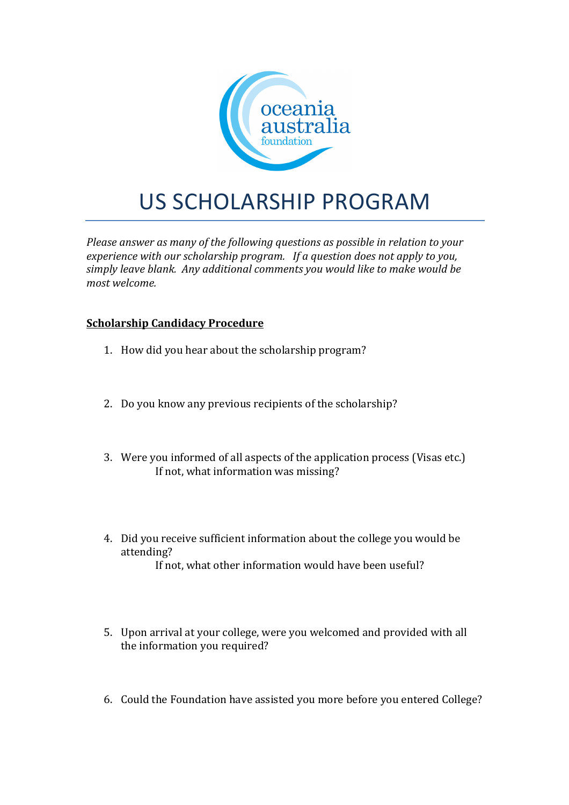

## US SCHOLARSHIP PROGRAM

*Please answer as many of the following questions as possible in relation to your experience with our scholarship program.* If a question does not apply to you, simply leave blank. Any additional comments you would like to make would be *most welcome.*

## **Scholarship Candidacy Procedure**

- 1. How did you hear about the scholarship program?
- 2. Do you know any previous recipients of the scholarship?
- 3. Were you informed of all aspects of the application process (Visas etc.) If not, what information was missing?
- 4. Did you receive sufficient information about the college you would be attending? If not, what other information would have been useful?
- 5. Upon arrival at your college, were you welcomed and provided with all the information you required?
- 6. Could the Foundation have assisted you more before you entered College?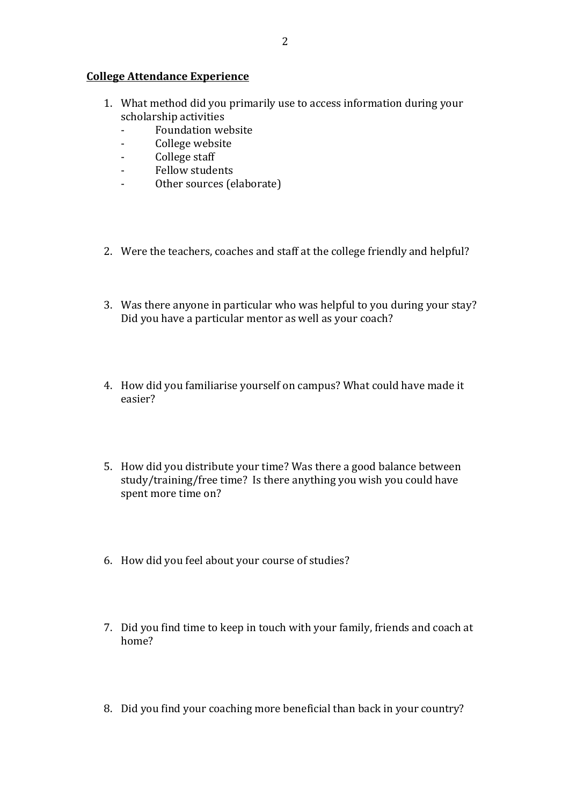## **College Attendance Experience**

- 1. What method did you primarily use to access information during your scholarship activities
	- Foundation website
	- College website
	- College staff
	- Fellow students
	- Other sources (elaborate)
- 2. Were the teachers, coaches and staff at the college friendly and helpful?
- 3. Was there anyone in particular who was helpful to you during your stay? Did you have a particular mentor as well as your coach?
- 4. How did you familiarise yourself on campus? What could have made it easier?
- 5. How did you distribute your time? Was there a good balance between study/training/free time? Is there anything you wish you could have spent more time on?
- 6. How did you feel about your course of studies?
- 7. Did you find time to keep in touch with your family, friends and coach at home?
- 8. Did you find your coaching more beneficial than back in your country?